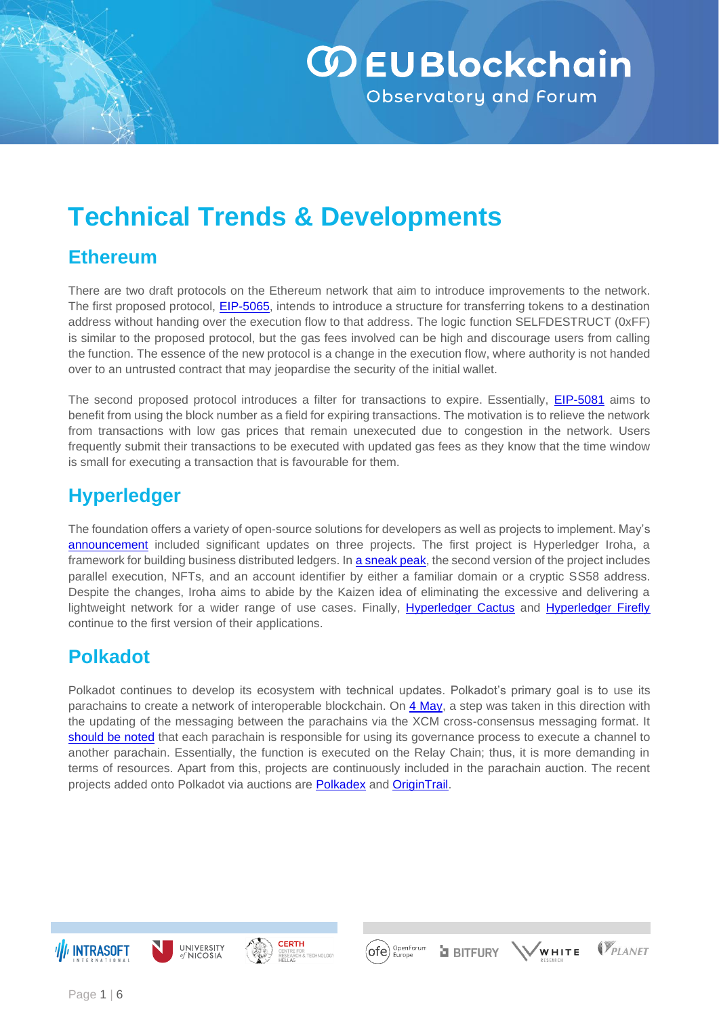# **WEUBlockchain** Observatory and Forum

# **Technical Trends & Developments**

#### **Ethereum**

There are two draft protocols on the Ethereum network that aim to introduce improvements to the network. The first proposed protocol, **EIP-5065**, intends to introduce a structure for transferring tokens to a destination address without handing over the execution flow to that address. The logic function SELFDESTRUCT (0xFF) is similar to the proposed protocol, but the gas fees involved can be high and discourage users from calling the function. The essence of the new protocol is a change in the execution flow, where authority is not handed over to an untrusted contract that may jeopardise the security of the initial wallet.

The second proposed protocol introduces a filter for transactions to expire. Essentially, [EIP-5081](https://eips.ethereum.org/EIPS/eip-5081) aims to benefit from using the block number as a field for expiring transactions. The motivation is to relieve the network from transactions with low gas prices that remain unexecuted due to congestion in the network. Users frequently submit their transactions to be executed with updated gas fees as they know that the time window is small for executing a transaction that is favourable for them.

### **Hyperledger**

The foundation offers a variety of open-source solutions for developers as well as projects to implement. May's [announcement](https://www.hyperledger.org/announcements/2022/05/19/hyperledger-foundation-announces-development-milestones-for-three-projects-plans-for-hyperledger-global-forum) included significant updates on three projects. The first project is Hyperledger Iroha, a framework for building business distributed ledgers. In **a sneak peak**, the second version of the project includes parallel execution, NFTs, and an account identifier by either a familiar domain or a cryptic SS58 address. Despite the changes, Iroha aims to abide by the Kaizen idea of eliminating the excessive and delivering a lightweight network for a wider range of use cases. Finally, [Hyperledger Cactus](https://www.hyperledger.org/blog/2022/03/17/hyperledger-cactus-release-v1-on-the-road-to-general-blockchain-integration) and [Hyperledger Firefly](https://www.hyperledger.org/blog/2022/04/13/introducing-hyperledger-firefly-1-0-the-supernode-for-enterprise-web3-applications) continue to the first version of their applications.

#### **Polkadot**

Polkadot continues to develop its ecosystem with technical updates. Polkadot's primary goal is to use its parachains to create a network of interoperable blockchain. On [4](https://finance.yahoo.com/news/polkadot-upgrade-locks-parachain-messaging-085732208.html) May, a step was taken in this direction with the updating of the messaging between the parachains via the XCM cross-consensus messaging format. It [should be noted](https://wiki.polkadot.network/docs/build-hrmp-channels) that each parachain is responsible for using its governance process to execute a channel to another parachain. Essentially, the function is executed on the Relay Chain; thus, it is more demanding in terms of resources. Apart from this, projects are continuously included in the parachain auction. The recent projects added onto Polkadot via auctions are [Polkadex](https://www.polkadex.trade/) and [OriginTrail.](https://origintrail.io/)

OpenForum<br>Europe

'ofe'

**a** BITFURY

**VPLANET** 

WHITE





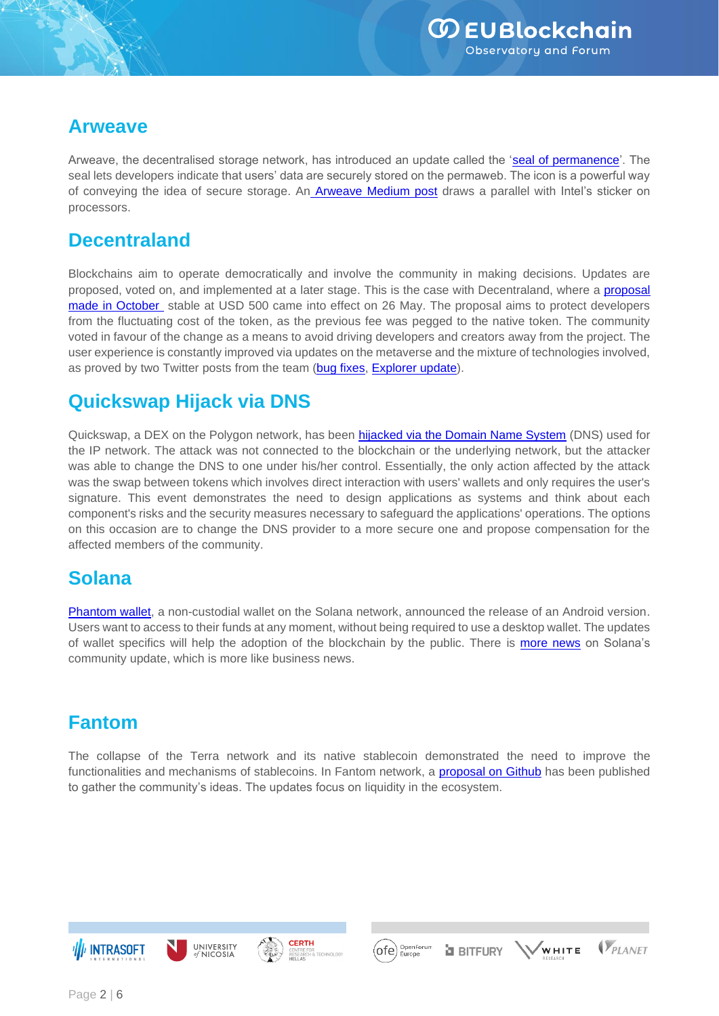#### **Arweave**

Arweave, the decentralised storage network, has introduced an update called the ['seal of permanence'](https://arweave.news/arweave-ecosystem-weekly-35/). The seal lets developers indicate that users' data are securely stored on the permaweb. The icon is a powerful way of conveying the idea of secure storage. An **[Arweave Medium post](https://arweave.medium.com/arweave-releases-a-seal-of-permanence-92685d2e7043)** draws a parallel with Intel's sticker on processors.

#### **Decentraland**

Blockchains aim to operate democratically and involve the community in making decisions. Updates are proposed, voted on, and implemented at a later stage. This is the case with Decentraland, where a [proposal](https://governance.decentraland.org/proposal/?id=e73b1d20-3a6d-11ec-be0c-afec86cba5e5)  [made in October](https://governance.decentraland.org/proposal/?id=e73b1d20-3a6d-11ec-be0c-afec86cba5e5) stable at USD 500 came into effect on 26 May. The proposal aims to protect developers from the fluctuating cost of the token, as the previous fee was pegged to the native token. The community voted in favour of the change as a means to avoid driving developers and creators away from the project. The user experience is constantly improved via updates on the metaverse and the mixture of technologies involved, as proved by two Twitter posts from the team [\(bug fixes,](https://twitter.com/decentraland/status/1526948395977424898?cxt=HHwWhICyybve57AqAAAA) [Explorer update\)](https://twitter.com/decentraland/status/1526948394866032642?cxt=HHwWhIC-pbPe57AqAAAA).

### **Quickswap Hijack via DNS**

Quickswap, a DEX on the Polygon network, has been **hijacked via the Domain Name System** (DNS) used for the IP network. The attack was not connected to the blockchain or the underlying network, but the attacker was able to change the DNS to one under his/her control. Essentially, the only action affected by the attack was the swap between tokens which involves direct interaction with users' wallets and only requires the user's signature. This event demonstrates the need to design applications as systems and think about each component's risks and the security measures necessary to safeguard the applications' operations. The options on this occasion are to change the DNS provider to a more secure one and propose compensation for the affected members of the community.

# **Solana**

[Phantom wallet,](https://twitter.com/phantom/status/1517187083621781506) a non-custodial wallet on the Solana network, announced the release of an Android version. Users want to access to their funds at any moment, without being required to use a desktop wallet. The updates of wallet specifics will help the adoption of the blockchain by the public. There is [more news](https://solana.com/news/monthly-community-update-april-may-2022-2) on Solana's community update, which is more like business news.

#### **Fantom**

The collapse of the Terra network and its native stablecoin demonstrated the need to improve the functionalities and mechanisms of stablecoins. In Fantom network, a [proposal on Github](https://github.com/Fantom-foundation/Fantom-FMint/blob/fusd-v2/docs/fip-001.md) has been published to gather the community's ideas. The updates focus on liquidity in the ecosystem.



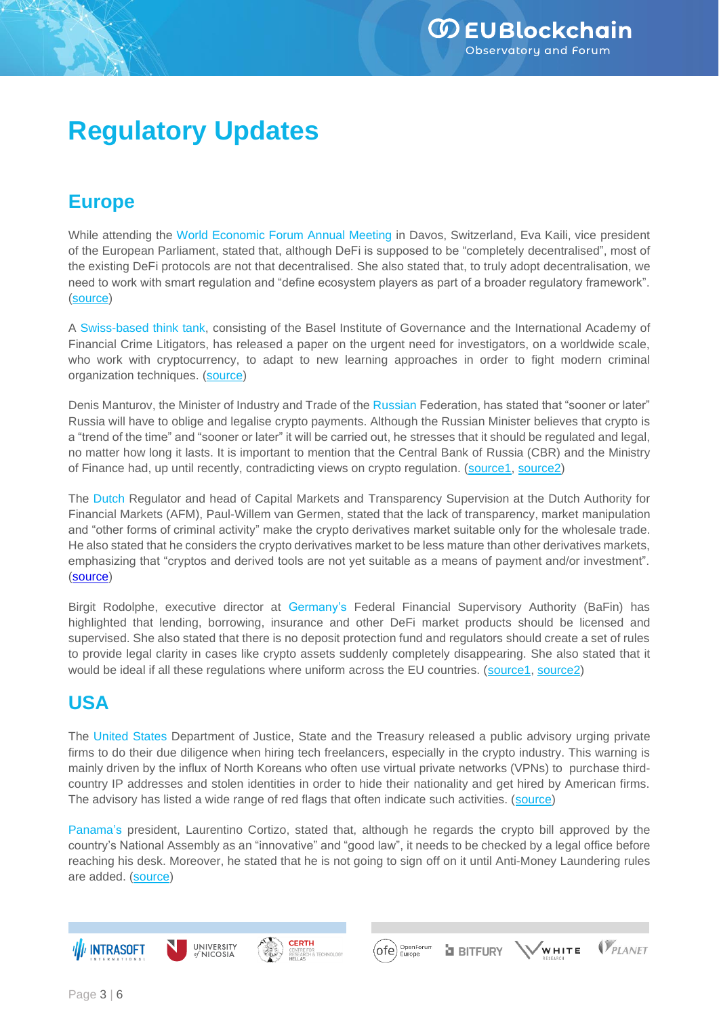# **Regulatory Updates**

### **Europe**

While attending the World Economic Forum Annual Meeting in Davos, Switzerland, Eva Kaili, vice president of the European Parliament, stated that, although DeFi is supposed to be "completely decentralised", most of the existing DeFi protocols are not that decentralised. She also stated that, to truly adopt decentralisation, we need to work with smart regulation and "define ecosystem players as part of a broader regulatory framework". [\(source\)](https://cointelegraph.com/news/wef-2022-most-defi-protocols-aren-t-really-decentralized-says-european-parliament-vp)

A Swiss-based think tank, consisting of the Basel Institute of Governance and the International Academy of Financial Crime Litigators, has released a paper on the urgent need for investigators, on a worldwide scale, who work with cryptocurrency, to adapt to new learning approaches in order to fight modern criminal organization techniques. [\(source\)](https://cointelegraph.com/news/swiss-think-tank-urges-greater-global-cooperation-on-crypto-regulation)

Denis Manturov, the Minister of Industry and Trade of the Russian Federation, has stated that "sooner or later" Russia will have to oblige and legalise crypto payments. Although the Russian Minister believes that crypto is a "trend of the time" and "sooner or later" it will be carried out, he stresses that it should be regulated and legal, no matter how long it lasts. It is important to mention that the Central Bank of Russia (CBR) and the Ministry of Finance had, up until recently, contradicting views on crypto regulation. [\(source1,](https://cointelegraph.com/news/russia-will-inevitably-legalize-crypto-payments-says-trade-minister) [source2\)](https://www.cryptopolitan.com/russia-is-to-adopt-cryptocurrency-payments/)

The Dutch Regulator and head of Capital Markets and Transparency Supervision at the Dutch Authority for Financial Markets (AFM), Paul-Willem van Germen, stated that the lack of transparency, market manipulation and "other forms of criminal activity" make the crypto derivatives market suitable only for the wholesale trade. He also stated that he considers the crypto derivatives market to be less mature than other derivatives markets, emphasizing that "cryptos and derived tools are not yet suitable as a means of payment and/or investment". [\(source\)](https://cointelegraph.com/news/dutch-regulator-says-crypto-not-yet-suitable-as-means-of-payment-or-investment)

Birgit Rodolphe, executive director at Germany's Federal Financial Supervisory Authority (BaFin) has highlighted that lending, borrowing, insurance and other DeFi market products should be licensed and supervised. She also stated that there is no deposit protection fund and regulators should create a set of rules to provide legal clarity in cases like crypto assets suddenly completely disappearing. She also stated that it would be ideal if all these regulations where uniform across the EU countries. [\(source1,](https://cointelegraph.com/news/german-bafin-official-calls-for-innovative-eu-wide-defi-regulation) [source2\)](https://www.cryptopolitan.com/bafin-executive-proposes-defi-reg-in-europe/)

# **USA**

The United States Department of Justice, State and the Treasury released a public advisory urging private firms to do their due diligence when hiring tech freelancers, especially in the crypto industry. This warning is mainly driven by the influx of North Koreans who often use virtual private networks (VPNs) to purchase thirdcountry IP addresses and stolen identities in order to hide their nationality and get hired by American firms. The advisory has listed a wide range of red flags that often indicate such activities. [\(source\)](https://cointelegraph.com/news/us-agencies-warn-against-the-influx-of-north-koreans-in-it-and-crypto-jobs-online)

Panama's president, Laurentino Cortizo, stated that, although he regards the crypto bill approved by the country's National Assembly as an "innovative" and "good law", it needs to be checked by a legal office before reaching his desk. Moreover, he stated that he is not going to sign off on it until Anti-Money Laundering rules are added. [\(source\)](https://cointelegraph.com/news/panama-s-president-says-he-won-t-sign-crypto-bill-into-law-at-this-moment)







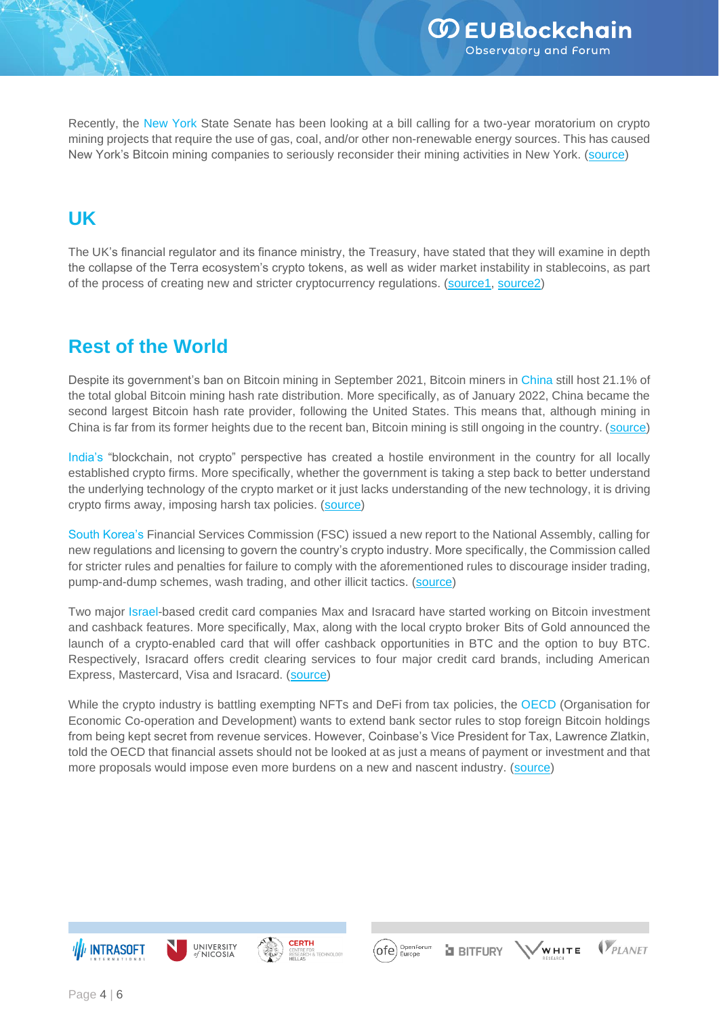Recently, the New York State Senate has been looking at a bill calling for a two-year moratorium on crypto mining projects that require the use of gas, coal, and/or other non-renewable energy sources. This has caused New York's Bitcoin mining companies to seriously reconsider their mining activities in New York. [\(source\)](https://www.coindesk.com/policy/2022/05/19/new-york-bitcoin-miners-start-to-give-up-on-state-amid-regulatory-uncertainty/)

#### **UK**

The UK's financial regulator and its finance ministry, the Treasury, have stated that they will examine in depth the collapse of the Terra ecosystem's crypto tokens, as well as wider market instability in stablecoins, as part of the process of creating new and stricter cryptocurrency regulations. [\(source1,](https://www.coindesk.com/policy/2022/05/20/uk-regulator-to-consider-terra-coins-collapse-in-new-crypto-rules-report/) [source2\)](https://www.cryptopolitan.com/regulators-consider-terra-in-crypto-rules-uk/)

# **Rest of the World**

Despite its government's ban on Bitcoin mining in September 2021, Bitcoin miners in China still host 21.1% of the total global Bitcoin mining hash rate distribution. More specifically, as of January 2022, China became the second largest Bitcoin hash rate provider, following the United States. This means that, although mining in China is far from its former heights due to the recent ban, Bitcoin mining is still ongoing in the country. [\(source\)](https://cointelegraph.com/news/china-returns-as-2nd-top-bitcoin-mining-hub-despite-the-crypto-ban)

India's "blockchain, not crypto" perspective has created a hostile environment in the country for all locally established crypto firms. More specifically, whether the government is taking a step back to better understand the underlying technology of the crypto market or it just lacks understanding of the new technology, it is driving crypto firms away, imposing harsh tax policies. [\(source\)](https://cointelegraph.com/news/indian-government-s-blockchain-not-crypto-stance-highlights-lack-of-understanding)

South Korea's Financial Services Commission (FSC) issued a new report to the National Assembly, calling for new regulations and licensing to govern the country's crypto industry. More specifically, the Commission called for stricter rules and penalties for failure to comply with the aforementioned rules to discourage insider trading, pump-and-dump schemes, wash trading, and other illicit tactics. [\(source\)](https://cointelegraph.com/news/south-korean-legislature-considering-new-licensing-system-for-crypto)

Two major Israel-based credit card companies Max and Isracard have started working on Bitcoin investment and cashback features. More specifically, Max, along with the local crypto broker Bits of Gold announced the launch of a crypto-enabled card that will offer cashback opportunities in BTC and the option to buy BTC. Respectively, Isracard offers credit clearing services to four major credit card brands, including American Express, Mastercard, Visa and Isracard. [\(source\)](https://cointelegraph.com/news/two-credit-card-firms-in-israel-to-let-cardholders-buy-bitcoin)

While the crypto industry is battling exempting NFTs and DeFi from tax policies, the OECD (Organisation for Economic Co-operation and Development) wants to extend bank sector rules to stop foreign Bitcoin holdings from being kept secret from revenue services. However, Coinbase's Vice President for Tax, Lawrence Zlatkin, told the OECD that financial assets should not be looked at as just a means of payment or investment and that more proposals would impose even more burdens on a new and nascent industry. [\(source\)](https://www.coindesk.com/policy/2022/05/23/crypto-industry-battles-to-exempt-nfts-defi-from-tax-reporting-rules/)



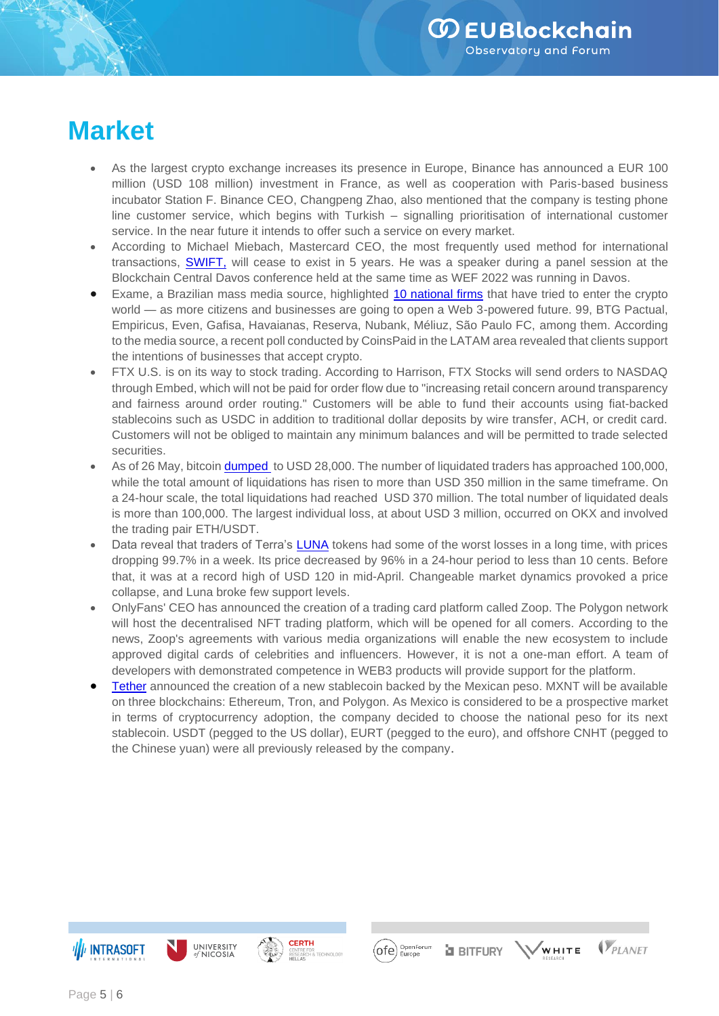$\mathbb{V}_{\scriptscriptstyle P\scriptscriptstyle I\, \scriptscriptstyle\! A\,\scriptscriptstyle\! NFT}$ 

 $\sqrt{w}$ HITE

# **Market**

- As the largest crypto exchange increases its presence in Europe, [Binance](https://www.theblockcrypto.com/linked/141754/binance-announces-100-million-euro-investment-in-france?utm_source=twitter&utm_medium=social) has announced a EUR 100 million (USD 108 million) investment in France, as well as cooperation with Paris-based business incubator Station F. Binance CEO, Changpeng Zhao, also mentioned that the company is testing phone line customer service, which begins with Turkish – signalling prioritisation of international customer service. In the near future it intends to offer such a service on every market.
- According to Michael Miebach, Mastercard CEO, the most frequently used method for international transactions, [SWIFT,](https://cointelegraph.com/news/swift-probably-won-t-exist-in-5-years-mastercard-ceo) will cease to exist in 5 years. He was a speaker during a panel session at the Blockchain Central Davos conference held at the same time as WEF 2022 was running in Davos.
- Exame, a Brazilian mass media source, highlighted [10 national firms](https://cryptonews.com/news/10-brazilian-business-giants-that-have-taken-the-bitcoin-crypto-plunge.htm) that have tried to enter the crypto world — as more citizens and businesses are going to open a Web 3-powered future. 99, BTG Pactual, Empiricus, Even, Gafisa, Havaianas, Reserva, Nubank, Méliuz, São Paulo FC, among them. According to the media source, a recent poll conducted by CoinsPaid in the LATAM area revealed that clients support the intentions of businesses that accept crypto.
- [FTX U.S.](https://www.cnbc.com/2022/05/19/crypto-exchange-ftx-us-gets-into-stock-trading.html) is on its way to stock trading. According to Harrison, FTX Stocks will send orders to NASDAQ through Embed, which will not be paid for order flow due to "increasing retail concern around transparency and fairness around order routing." Customers will be able to fund their accounts using fiat-backed stablecoins such as USDC in addition to traditional dollar deposits by wire transfer, ACH, or credit card. Customers will not be obliged to maintain any minimum balances and will be permitted to trade selected securities.
- As of 26 May, bitcoin **[dumped](https://cryptopotato.com/over-370m-liquidated-in-a-day-as-bitcoin-price-slumps-to-28k/)** to USD 28,000. The number of liquidated traders has approached 100,000, while the total amount of liquidations has risen to more than USD 350 million in the same timeframe. On a 24-hour scale, the total liquidations had reached USD 370 million. The total number of liquidated deals is more than 100,000. The largest individual loss, at about USD 3 million, occurred on OKX and involved the trading pair ETH/USDT.
- Data reveal that traders of Terra's [LUNA](https://www.coindesk.com/markets/2022/05/12/terras-luna-has-dropped-997-in-under-a-week-thats-good-for-ust/) tokens had some of the worst losses in a long time, with prices dropping 99.7% in a week. Its price decreased by 96% in a 24-hour period to less than 10 cents. Before that, it was at a record high of USD 120 in mid-April. Changeable market dynamics provoked a price collapse, and Luna broke few support levels.
- OnlyFans' CEO has announced the creation of a trading card platform calle[d Zoop.](https://cryptopotato.com/onlyfans-creator-rj-phillips-launches-zoop-an-nft-trading-card-platform-on-polygon/) The Polygon network will host the decentralised NFT trading platform, which will be opened for all comers. According to the news, Zoop's agreements with various media organizations will enable the new ecosystem to include approved digital cards of celebrities and influencers. However, it is not a one-man effort. A team of developers with demonstrated competence in WEB3 products will provide support for the platform.
- [Tether](https://cryptopotato.com/tether-launches-mexican-peso-backed-stablecoin-on-ethereum-tron-polygon/) announced the creation of a new stablecoin backed by the Mexican peso. MXNT will be available on three blockchains: Ethereum, Tron, and Polygon. As Mexico is considered to be a prospective market in terms of cryptocurrency adoption, the company decided to choose the national peso for its next stablecoin. USDT (pegged to the US dollar), EURT (pegged to the euro), and offshore CNHT (pegged to the Chinese yuan) were all previously released by the company.

 $($ ofe $)$ 

OpenForun<br>Europe

**a** BITFURY